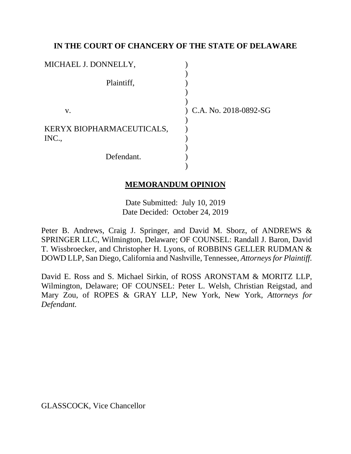## **IN THE COURT OF CHANCERY OF THE STATE OF DELAWARE**

| MICHAEL J. DONNELLY,               |                           |
|------------------------------------|---------------------------|
| Plaintiff,                         |                           |
| V.                                 | $)$ C.A. No. 2018-0892-SG |
| KERYX BIOPHARMACEUTICALS,<br>INC., |                           |
| Defendant.                         |                           |

### **MEMORANDUM OPINION**

Date Submitted: July 10, 2019 Date Decided: October 24, 2019

Peter B. Andrews, Craig J. Springer, and David M. Sborz, of ANDREWS & SPRINGER LLC, Wilmington, Delaware; OF COUNSEL: Randall J. Baron, David T. Wissbroecker, and Christopher H. Lyons, of ROBBINS GELLER RUDMAN & DOWD LLP, San Diego, California and Nashville, Tennessee, *Attorneys for Plaintiff.*

David E. Ross and S. Michael Sirkin, of ROSS ARONSTAM & MORITZ LLP, Wilmington, Delaware; OF COUNSEL: Peter L. Welsh, Christian Reigstad, and Mary Zou, of ROPES & GRAY LLP, New York, New York, *Attorneys for Defendant.*

GLASSCOCK, Vice Chancellor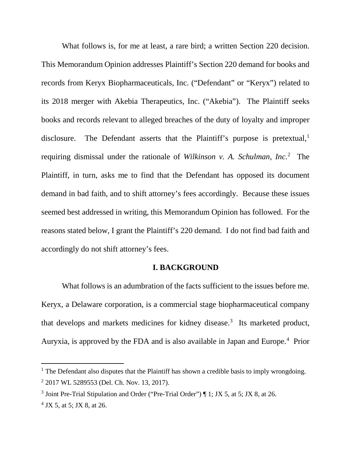What follows is, for me at least, a rare bird; a written Section 220 decision. This Memorandum Opinion addresses Plaintiff's Section 220 demand for books and records from Keryx Biopharmaceuticals, Inc. ("Defendant" or "Keryx") related to its 2018 merger with Akebia Therapeutics, Inc. ("Akebia"). The Plaintiff seeks books and records relevant to alleged breaches of the duty of loyalty and improper disclosure. The Defendant asserts that the Plaintiff's purpose is pretextual, $<sup>1</sup>$ </sup> requiring dismissal under the rationale of *Wilkinson v. A. Schulman, Inc.*<sup>2</sup> The Plaintiff, in turn, asks me to find that the Defendant has opposed its document demand in bad faith, and to shift attorney's fees accordingly. Because these issues seemed best addressed in writing, this Memorandum Opinion has followed. For the reasons stated below, I grant the Plaintiff's 220 demand. I do not find bad faith and accordingly do not shift attorney's fees.

### **I. BACKGROUND**

What follows is an adumbration of the facts sufficient to the issues before me. Keryx, a Delaware corporation, is a commercial stage biopharmaceutical company that develops and markets medicines for kidney disease.<sup>3</sup> Its marketed product, Auryxia, is approved by the FDA and is also available in Japan and Europe.<sup>4</sup> Prior

<sup>&</sup>lt;sup>1</sup> The Defendant also disputes that the Plaintiff has shown a credible basis to imply wrongdoing. <sup>2</sup> 2017 WL 5289553 (Del. Ch. Nov. 13, 2017).

<sup>&</sup>lt;sup>3</sup> Joint Pre-Trial Stipulation and Order ("Pre-Trial Order")  $\P$  1; JX 5, at 5; JX 8, at 26.

 $4$  JX 5, at 5; JX 8, at 26.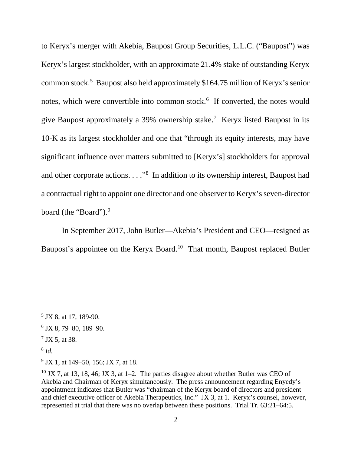to Keryx's merger with Akebia, Baupost Group Securities, L.L.C. ("Baupost") was Keryx's largest stockholder, with an approximate 21.4% stake of outstanding Keryx common stock.<sup>5</sup> Baupost also held approximately \$164.75 million of Keryx's senior notes, which were convertible into common stock.<sup>6</sup> If converted, the notes would give Baupost approximately a 39% ownership stake.7 Keryx listed Baupost in its 10-K as its largest stockholder and one that "through its equity interests, may have significant influence over matters submitted to [Keryx's] stockholders for approval and other corporate actions. . . . "<sup>8</sup> In addition to its ownership interest, Baupost had a contractual right to appoint one director and one observer to Keryx's seven-director board (the "Board").<sup>9</sup>

In September 2017, John Butler—Akebia's President and CEO—resigned as Baupost's appointee on the Keryx Board.<sup>10</sup> That month, Baupost replaced Butler

<sup>8</sup> *Id.*

 $5$  JX 8, at 17, 189-90.

 $6$  JX 8, 79–80, 189–90.

<sup>7</sup> JX 5, at 38.

 $^{9}$  JX 1, at 149–50, 156; JX 7, at 18.

 $10$  JX 7, at 13, 18, 46; JX 3, at 1–2. The parties disagree about whether Butler was CEO of Akebia and Chairman of Keryx simultaneously. The press announcement regarding Enyedy's appointment indicates that Butler was "chairman of the Keryx board of directors and president and chief executive officer of Akebia Therapeutics, Inc." JX 3, at 1. Keryx's counsel, however, represented at trial that there was no overlap between these positions. Trial Tr. 63:21–64:5.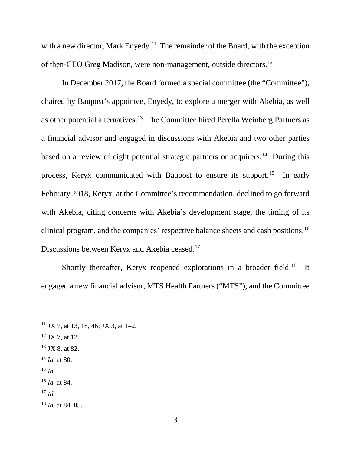with a new director, Mark Enyedy.<sup>11</sup> The remainder of the Board, with the exception of then-CEO Greg Madison, were non-management, outside directors.12

In December 2017, the Board formed a special committee (the "Committee"), chaired by Baupost's appointee, Enyedy, to explore a merger with Akebia, as well as other potential alternatives.13 The Committee hired Perella Weinberg Partners as a financial advisor and engaged in discussions with Akebia and two other parties based on a review of eight potential strategic partners or acquirers.<sup>14</sup> During this process, Keryx communicated with Baupost to ensure its support.15 In early February 2018, Keryx, at the Committee's recommendation, declined to go forward with Akebia, citing concerns with Akebia's development stage, the timing of its clinical program, and the companies' respective balance sheets and cash positions.16 Discussions between Keryx and Akebia ceased.17

Shortly thereafter, Keryx reopened explorations in a broader field.<sup>18</sup> It engaged a new financial advisor, MTS Health Partners ("MTS"), and the Committee

<sup>15</sup> *Id.*

 $^{17}$  *Id.* 

<sup>18</sup> *Id.* at 84–85.

<sup>&</sup>lt;sup>11</sup> JX 7, at 13, 18, 46; JX 3, at 1–2.

 $12$  JX 7, at 12.

 $13$  JX 8, at 82.

<sup>14</sup> *Id.* at 80.

<sup>16</sup> *Id.* at 84.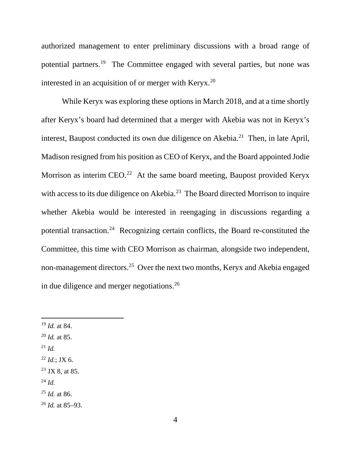authorized management to enter preliminary discussions with a broad range of potential partners.19 The Committee engaged with several parties, but none was interested in an acquisition of or merger with  $K$ eryx.<sup>20</sup>

While Keryx was exploring these options in March 2018, and at a time shortly after Keryx's board had determined that a merger with Akebia was not in Keryx's interest, Baupost conducted its own due diligence on Akebia.<sup>21</sup> Then, in late April, Madison resigned from his position as CEO of Keryx, and the Board appointed Jodie Morrison as interim  $CEO.<sup>22</sup>$  At the same board meeting, Baupost provided Keryx with access to its due diligence on Akebia.<sup>23</sup> The Board directed Morrison to inquire whether Akebia would be interested in reengaging in discussions regarding a potential transaction.24 Recognizing certain conflicts, the Board re-constituted the Committee, this time with CEO Morrison as chairman, alongside two independent, non-management directors.25 Over the next two months, Keryx and Akebia engaged in due diligence and merger negotiations.26

- <sup>20</sup> *Id.* at 85.
- $^{21}$  *Id.*
- $^{22}$  *Id.*; JX 6.
- $23$  JX 8, at 85.
- <sup>24</sup> *Id.*

<sup>26</sup> *Id.* at 85–93.

 <sup>19</sup> *Id.* at 84.

<sup>25</sup> *Id.* at 86.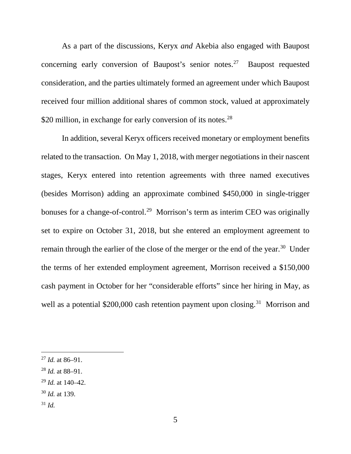As a part of the discussions, Keryx *and* Akebia also engaged with Baupost concerning early conversion of Baupost's senior notes.27 Baupost requested consideration, and the parties ultimately formed an agreement under which Baupost received four million additional shares of common stock, valued at approximately \$20 million, in exchange for early conversion of its notes.<sup>28</sup>

In addition, several Keryx officers received monetary or employment benefits related to the transaction. On May 1, 2018, with merger negotiations in their nascent stages, Keryx entered into retention agreements with three named executives (besides Morrison) adding an approximate combined \$450,000 in single-trigger bonuses for a change-of-control.<sup>29</sup> Morrison's term as interim CEO was originally set to expire on October 31, 2018, but she entered an employment agreement to remain through the earlier of the close of the merger or the end of the year.30 Under the terms of her extended employment agreement, Morrison received a \$150,000 cash payment in October for her "considerable efforts" since her hiring in May, as well as a potential  $$200,000$  cash retention payment upon closing.<sup>31</sup> Morrison and

- <sup>30</sup> *Id.* at 139.
- <sup>31</sup> *Id.*

 <sup>27</sup> *Id.* at 86–91.

<sup>28</sup> *Id.* at 88–91.

<sup>29</sup> *Id.* at 140–42.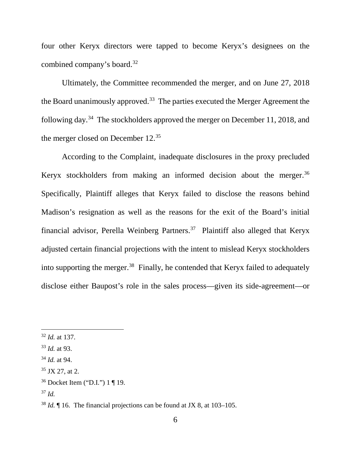four other Keryx directors were tapped to become Keryx's designees on the combined company's board.32

Ultimately, the Committee recommended the merger, and on June 27, 2018 the Board unanimously approved.<sup>33</sup> The parties executed the Merger Agreement the following day.34 The stockholders approved the merger on December 11, 2018, and the merger closed on December 12. 35

According to the Complaint, inadequate disclosures in the proxy precluded Keryx stockholders from making an informed decision about the merger.<sup>36</sup> Specifically, Plaintiff alleges that Keryx failed to disclose the reasons behind Madison's resignation as well as the reasons for the exit of the Board's initial financial advisor, Perella Weinberg Partners.<sup>37</sup> Plaintiff also alleged that Keryx adjusted certain financial projections with the intent to mislead Keryx stockholders into supporting the merger.<sup>38</sup> Finally, he contended that Keryx failed to adequately disclose either Baupost's role in the sales process—given its side-agreement—or

 <sup>32</sup> *Id.* at 137.

<sup>33</sup> *Id.* at 93.

<sup>34</sup> *Id.* at 94.

 $35$  JX 27, at 2.

<sup>36</sup> Docket Item ("D.I.") 1 ¶ 19.

<sup>37</sup> *Id.*

<sup>38</sup> *Id.* ¶ 16. The financial projections can be found at JX 8, at 103–105.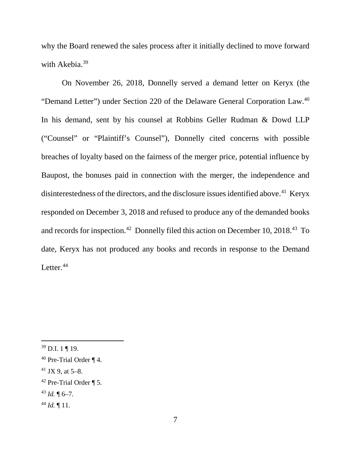why the Board renewed the sales process after it initially declined to move forward with Akebia.<sup>39</sup>

On November 26, 2018, Donnelly served a demand letter on Keryx (the "Demand Letter") under Section 220 of the Delaware General Corporation Law.40 In his demand, sent by his counsel at Robbins Geller Rudman & Dowd LLP ("Counsel" or "Plaintiff's Counsel"), Donnelly cited concerns with possible breaches of loyalty based on the fairness of the merger price, potential influence by Baupost, the bonuses paid in connection with the merger, the independence and disinterestedness of the directors, and the disclosure issues identified above.<sup>41</sup> Keryx responded on December 3, 2018 and refused to produce any of the demanded books and records for inspection.<sup>42</sup> Donnelly filed this action on December 10, 2018.<sup>43</sup> To date, Keryx has not produced any books and records in response to the Demand Letter. $44$ 

 $41$  JX 9, at 5–8.

 $^{43}$  *Id.* ¶ 6–7.

 $39$  D.I. 1 | 19.

<sup>40</sup> Pre-Trial Order ¶ 4.

 $42$  Pre-Trial Order ¶ 5.

 $44$  *Id.* 11.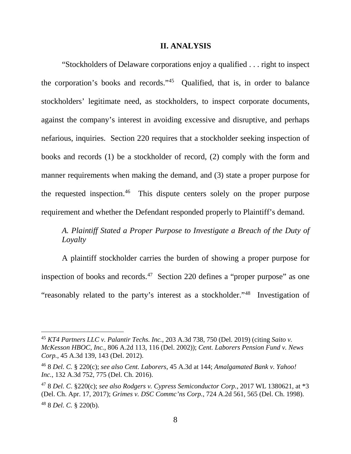#### **II. ANALYSIS**

"Stockholders of Delaware corporations enjoy a qualified . . . right to inspect the corporation's books and records."45 Qualified, that is, in order to balance stockholders' legitimate need, as stockholders, to inspect corporate documents, against the company's interest in avoiding excessive and disruptive, and perhaps nefarious, inquiries. Section 220 requires that a stockholder seeking inspection of books and records (1) be a stockholder of record, (2) comply with the form and manner requirements when making the demand, and (3) state a proper purpose for the requested inspection.<sup>46</sup> This dispute centers solely on the proper purpose requirement and whether the Defendant responded properly to Plaintiff's demand.

# *A. Plaintiff Stated a Proper Purpose to Investigate a Breach of the Duty of Loyalty*

A plaintiff stockholder carries the burden of showing a proper purpose for inspection of books and records. 47 Section 220 defines a "proper purpose" as one "reasonably related to the party's interest as a stockholder."48 Investigation of

 <sup>45</sup> *KT4 Partners LLC v. Palantir Techs. Inc.*, 203 A.3d 738, 750 (Del. 2019) (citing *Saito v. McKesson HBOC, Inc.*, 806 A.2d 113, 116 (Del. 2002)); *Cent. Laborers Pension Fund v. News Corp.*, 45 A.3d 139, 143 (Del. 2012).

<sup>46</sup> 8 *Del. C.* § 220(c); *see also Cent. Laborers*, 45 A.3d at 144; *Amalgamated Bank v. Yahoo! Inc.*, 132 A.3d 752, 775 (Del. Ch. 2016).

<sup>47</sup> 8 *Del. C*. §220(c); *see also Rodgers v. Cypress Semiconductor Corp.*, 2017 WL 1380621, at \*3 (Del. Ch. Apr. 17, 2017); *Grimes v. DSC Commc'ns Corp.*, 724 A.2d 561, 565 (Del. Ch. 1998). <sup>48</sup> 8 *Del. C.* § 220(b).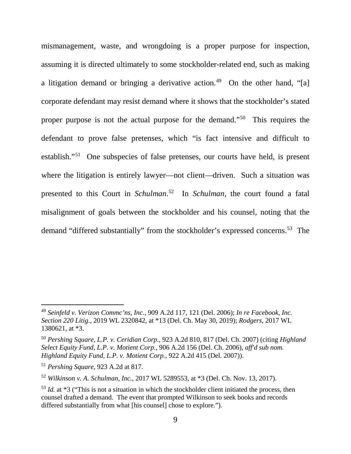mismanagement, waste, and wrongdoing is a proper purpose for inspection, assuming it is directed ultimately to some stockholder-related end, such as making a litigation demand or bringing a derivative action.<sup>49</sup> On the other hand, "[a] corporate defendant may resist demand where it shows that the stockholder's stated proper purpose is not the actual purpose for the demand."50 This requires the defendant to prove false pretenses, which "is fact intensive and difficult to establish."51 One subspecies of false pretenses, our courts have held, is present where the litigation is entirely lawyer—not client—driven. Such a situation was presented to this Court in *Schulman*. 52 In *Schulman,* the court found a fatal misalignment of goals between the stockholder and his counsel, noting that the demand "differed substantially" from the stockholder's expressed concerns.<sup>53</sup> The

 <sup>49</sup> *Seinfeld v. Verizon Commc'ns, Inc.*, 909 A.2d 117, 121 (Del. 2006); *In re Facebook, Inc. Section 220 Litig.*, 2019 WL 2320842, at \*13 (Del. Ch. May 30, 2019); *Rodgers*, 2017 WL 1380621, at \*3.

<sup>50</sup> *Pershing Square, L.P. v. Ceridian Corp.*, 923 A.2d 810, 817 (Del. Ch. 2007) (citing *Highland Select Equity Fund, L.P. v. Motient Corp.*, 906 A.2d 156 (Del. Ch. 2006), *aff'd sub nom. Highland Equity Fund, L.P. v. Motient Corp.*, 922 A.2d 415 (Del. 2007)).

<sup>51</sup> *Pershing Square*, 923 A.2d at 817.

<sup>52</sup> *Wilkinson v. A. Schulman, Inc.*, 2017 WL 5289553, at \*3 (Del. Ch. Nov. 13, 2017).

<sup>&</sup>lt;sup>53</sup> *Id.* at \*3 ("This is not a situation in which the stockholder client initiated the process, then counsel drafted a demand. The event that prompted Wilkinson to seek books and records differed substantially from what [his counsel] chose to explore.").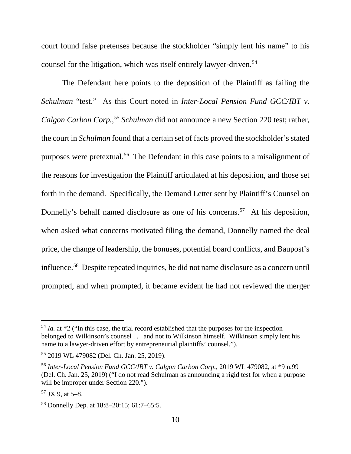court found false pretenses because the stockholder "simply lent his name" to his counsel for the litigation, which was itself entirely lawyer-driven.<sup>54</sup>

The Defendant here points to the deposition of the Plaintiff as failing the *Schulman* "test." As this Court noted in *Inter-Local Pension Fund GCC/IBT v. Calgon Carbon Corp.*, <sup>55</sup> *Schulman* did not announce a new Section 220 test; rather, the court in *Schulman* found that a certain set of facts proved the stockholder's stated purposes were pretextual.56 The Defendant in this case points to a misalignment of the reasons for investigation the Plaintiff articulated at his deposition, and those set forth in the demand. Specifically, the Demand Letter sent by Plaintiff's Counsel on Donnelly's behalf named disclosure as one of his concerns.<sup>57</sup> At his deposition, when asked what concerns motivated filing the demand, Donnelly named the deal price, the change of leadership, the bonuses, potential board conflicts, and Baupost's influence.58 Despite repeated inquiries, he did not name disclosure as a concern until prompted, and when prompted, it became evident he had not reviewed the merger

<sup>&</sup>lt;sup>54</sup> *Id.* at \*2 ("In this case, the trial record established that the purposes for the inspection belonged to Wilkinson's counsel . . . and not to Wilkinson himself. Wilkinson simply lent his name to a lawyer-driven effort by entrepreneurial plaintiffs' counsel.").

<sup>55</sup> 2019 WL 479082 (Del. Ch. Jan. 25, 2019).

<sup>56</sup> *Inter-Local Pension Fund GCC/IBT v. Calgon Carbon Corp.*, 2019 WL 479082, at \*9 n.99 (Del. Ch. Jan. 25, 2019) ("I do not read Schulman as announcing a rigid test for when a purpose will be improper under Section 220.").

 $57$  JX 9, at 5–8.

<sup>58</sup> Donnelly Dep. at 18:8–20:15; 61:7–65:5.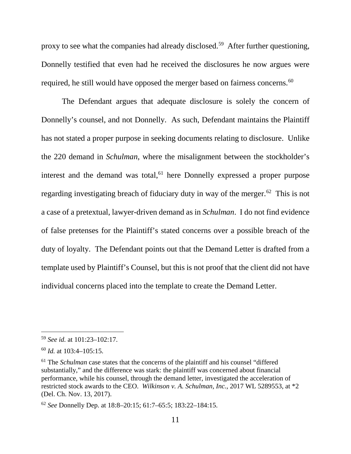proxy to see what the companies had already disclosed.<sup>59</sup> After further questioning, Donnelly testified that even had he received the disclosures he now argues were required, he still would have opposed the merger based on fairness concerns.<sup>60</sup>

The Defendant argues that adequate disclosure is solely the concern of Donnelly's counsel, and not Donnelly. As such, Defendant maintains the Plaintiff has not stated a proper purpose in seeking documents relating to disclosure. Unlike the 220 demand in *Schulman*, where the misalignment between the stockholder's interest and the demand was total,  $61$  here Donnelly expressed a proper purpose regarding investigating breach of fiduciary duty in way of the merger.<sup>62</sup> This is not a case of a pretextual, lawyer-driven demand as in *Schulman*. I do not find evidence of false pretenses for the Plaintiff's stated concerns over a possible breach of the duty of loyalty. The Defendant points out that the Demand Letter is drafted from a template used by Plaintiff's Counsel, but this is not proof that the client did not have individual concerns placed into the template to create the Demand Letter.

 <sup>59</sup> *See id.* at 101:23–102:17.

<sup>60</sup> *Id.* at 103:4–105:15.

<sup>61</sup> The *Schulman* case states that the concerns of the plaintiff and his counsel "differed substantially," and the difference was stark: the plaintiff was concerned about financial performance, while his counsel, through the demand letter, investigated the acceleration of restricted stock awards to the CEO. *Wilkinson v. A. Schulman, Inc.*, 2017 WL 5289553, at \*2 (Del. Ch. Nov. 13, 2017).

<sup>62</sup> *See* Donnelly Dep. at 18:8–20:15; 61:7–65:5; 183:22–184:15.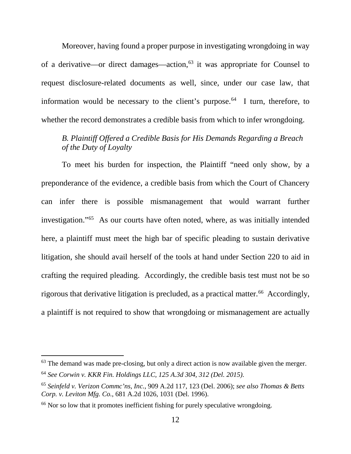Moreover, having found a proper purpose in investigating wrongdoing in way of a derivative—or direct damages—action, $63$  it was appropriate for Counsel to request disclosure-related documents as well, since, under our case law, that information would be necessary to the client's purpose.<sup> $64$ </sup> I turn, therefore, to whether the record demonstrates a credible basis from which to infer wrongdoing.

# *B. Plaintiff Offered a Credible Basis for His Demands Regarding a Breach of the Duty of Loyalty*

To meet his burden for inspection, the Plaintiff "need only show, by a preponderance of the evidence, a credible basis from which the Court of Chancery can infer there is possible mismanagement that would warrant further investigation."65 As our courts have often noted, where, as was initially intended here, a plaintiff must meet the high bar of specific pleading to sustain derivative litigation, she should avail herself of the tools at hand under Section 220 to aid in crafting the required pleading. Accordingly, the credible basis test must not be so rigorous that derivative litigation is precluded, as a practical matter.<sup>66</sup> Accordingly, a plaintiff is not required to show that wrongdoing or mismanagement are actually

 $63$  The demand was made pre-closing, but only a direct action is now available given the merger. <sup>64</sup> *See Corwin v. KKR Fin. Holdings LLC, 125 A.3d 304, 312 (Del. 2015)*.

<sup>65</sup> *Seinfeld v. Verizon Commc'ns, Inc.*, 909 A.2d 117, 123 (Del. 2006); *see also Thomas & Betts Corp. v. Leviton Mfg. Co.*, 681 A.2d 1026, 1031 (Del. 1996).

<sup>&</sup>lt;sup>66</sup> Nor so low that it promotes inefficient fishing for purely speculative wrongdoing.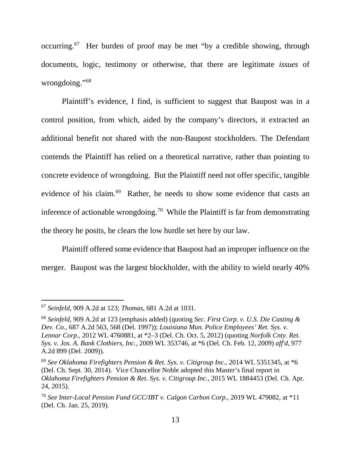occurring. <sup>67</sup> Her burden of proof may be met "by a credible showing, through documents, logic, testimony or otherwise, that there are legitimate *issues* of wrongdoing."68

Plaintiff's evidence, I find, is sufficient to suggest that Baupost was in a control position, from which, aided by the company's directors, it extracted an additional benefit not shared with the non-Baupost stockholders. The Defendant contends the Plaintiff has relied on a theoretical narrative, rather than pointing to concrete evidence of wrongdoing. But the Plaintiff need not offer specific, tangible evidence of his claim.<sup>69</sup> Rather, he needs to show some evidence that casts an inference of actionable wrongdoing.<sup>70</sup> While the Plaintiff is far from demonstrating the theory he posits, he clears the low hurdle set here by our law.

Plaintiff offered some evidence that Baupost had an improper influence on the merger. Baupost was the largest blockholder, with the ability to wield nearly 40%

 <sup>67</sup> *Seinfeld*, 909 A.2d at 123; *Thomas*, 681 A.2d at 1031.

<sup>68</sup> *Seinfeld*, 909 A.2d at 123 (emphasis added) (quoting *Sec. First Corp. v. U.S. Die Casting & Dev. Co.*, 687 A.2d 563, 568 (Del. 1997)); *Louisiana Mun. Police Employees' Ret. Sys. v. Lennar Corp.*, 2012 WL 4760881, at \*2–3 (Del. Ch. Oct. 5, 2012) (quoting *Norfolk Cnty. Ret. Sys. v. Jos. A. Bank Clothiers, Inc.*, 2009 WL 353746, at \*6 (Del. Ch. Feb. 12, 2009) *aff'd*, 977 A.2d 899 (Del. 2009)).

<sup>69</sup> *See Oklahoma Firefighters Pension & Ret. Sys. v. Citigroup Inc.*, 2014 WL 5351345, at \*6 (Del. Ch. Sept. 30, 2014). Vice Chancellor Noble adopted this Master's final report in *Oklahoma Firefighters Pension & Ret. Sys. v. Citigroup Inc.*, 2015 WL 1884453 (Del. Ch. Apr. 24, 2015).

<sup>70</sup> *See Inter-Local Pension Fund GCC/IBT v. Calgon Carbon Corp.*, 2019 WL 479082, at \*11 (Del. Ch. Jan. 25, 2019).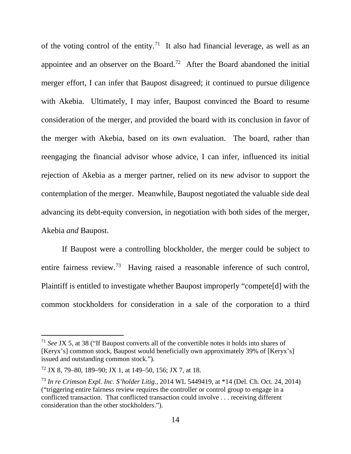of the voting control of the entity.<sup>71</sup> It also had financial leverage, as well as an appointee and an observer on the Board.<sup>72</sup> After the Board abandoned the initial merger effort, I can infer that Baupost disagreed; it continued to pursue diligence with Akebia. Ultimately, I may infer, Baupost convinced the Board to resume consideration of the merger, and provided the board with its conclusion in favor of the merger with Akebia, based on its own evaluation. The board, rather than reengaging the financial advisor whose advice, I can infer, influenced its initial rejection of Akebia as a merger partner, relied on its new advisor to support the contemplation of the merger. Meanwhile, Baupost negotiated the valuable side deal advancing its debt-equity conversion, in negotiation with both sides of the merger, Akebia *and* Baupost.

If Baupost were a controlling blockholder, the merger could be subject to entire fairness review.<sup>73</sup> Having raised a reasonable inference of such control, Plaintiff is entitled to investigate whether Baupost improperly "compete[d] with the common stockholders for consideration in a sale of the corporation to a third

 <sup>71</sup> *See* JX 5, at 38 ("If Baupost converts all of the convertible notes it holds into shares of [Keryx's] common stock, Baupost would beneficially own approximately 39% of [Keryx's] issued and outstanding common stock.").

<sup>72</sup> JX 8, 79–80, 189–90; JX 1, at 149–50, 156; JX 7, at 18.

<sup>73</sup> *In re Crimson Expl. Inc. S'holder Litig.*, 2014 WL 5449419, at \*14 (Del. Ch. Oct. 24, 2014) ("triggering entire fairness review requires the controller or control group to engage in a conflicted transaction. That conflicted transaction could involve . . . receiving different consideration than the other stockholders.").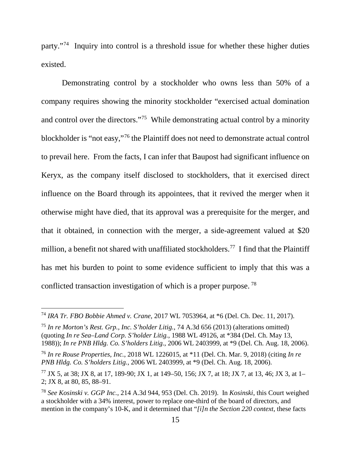party."74 Inquiry into control is a threshold issue for whether these higher duties existed.

Demonstrating control by a stockholder who owns less than 50% of a company requires showing the minority stockholder "exercised actual domination and control over the directors."75 While demonstrating actual control by a minority blockholder is "not easy,"76 the Plaintiff does not need to demonstrate actual control to prevail here. From the facts, I can infer that Baupost had significant influence on Keryx, as the company itself disclosed to stockholders, that it exercised direct influence on the Board through its appointees, that it revived the merger when it otherwise might have died, that its approval was a prerequisite for the merger, and that it obtained, in connection with the merger, a side-agreement valued at \$20 million, a benefit not shared with unaffiliated stockholders.<sup>77</sup> I find that the Plaintiff has met his burden to point to some evidence sufficient to imply that this was a conflicted transaction investigation of which is a proper purpose. <sup>78</sup>

 <sup>74</sup> *IRA Tr. FBO Bobbie Ahmed v. Crane*, 2017 WL 7053964, at \*6 (Del. Ch. Dec. 11, 2017).

<sup>75</sup> *In re Morton's Rest. Grp., Inc. S'holder Litig.*, 74 A.3d 656 (2013) (alterations omitted) (quoting *In re Sea–Land Corp. S'holder Litig.*, 1988 WL 49126, at \*384 (Del. Ch. May 13, 1988)); *In re PNB Hldg. Co. S'holders Litig.*, 2006 WL 2403999, at \*9 (Del. Ch. Aug. 18, 2006).

<sup>76</sup> *In re Rouse Properties, Inc.*, 2018 WL 1226015, at \*11 (Del. Ch. Mar. 9, 2018) (citing *In re PNB Hldg. Co. S'holders Litig.*, 2006 WL 2403999, at \*9 (Del. Ch. Aug. 18, 2006).

<sup>77</sup> JX 5, at 38; JX 8, at 17, 189-90; JX 1, at 149–50, 156; JX 7, at 18; JX 7, at 13, 46; JX 3, at 1– 2; JX 8, at 80, 85, 88–91.

<sup>78</sup> *See Kosinski v. GGP Inc.*, 214 A.3d 944, 953 (Del. Ch. 2019). In *Kosinski*, this Court weighed a stockholder with a 34% interest, power to replace one-third of the board of directors, and mention in the company's 10-K, and it determined that "*[i]n the Section 220 context*, these facts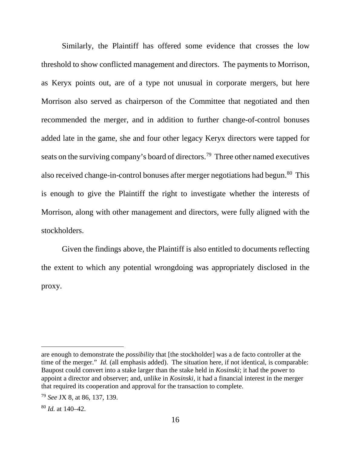Similarly, the Plaintiff has offered some evidence that crosses the low threshold to show conflicted management and directors. The payments to Morrison, as Keryx points out, are of a type not unusual in corporate mergers, but here Morrison also served as chairperson of the Committee that negotiated and then recommended the merger, and in addition to further change-of-control bonuses added late in the game, she and four other legacy Keryx directors were tapped for seats on the surviving company's board of directors.<sup>79</sup> Three other named executives also received change-in-control bonuses after merger negotiations had begun.<sup>80</sup> This is enough to give the Plaintiff the right to investigate whether the interests of Morrison, along with other management and directors, were fully aligned with the stockholders.

Given the findings above, the Plaintiff is also entitled to documents reflecting the extent to which any potential wrongdoing was appropriately disclosed in the proxy.

 $\overline{a}$ 

are enough to demonstrate the *possibility* that [the stockholder] was a de facto controller at the time of the merger." *Id.* (all emphasis added). The situation here, if not identical, is comparable: Baupost could convert into a stake larger than the stake held in *Kosinski*; it had the power to appoint a director and observer; and, unlike in *Kosinski*, it had a financial interest in the merger that required its cooperation and approval for the transaction to complete.

<sup>79</sup> *See* JX 8, at 86, 137, 139.

<sup>80</sup> *Id.* at 140–42.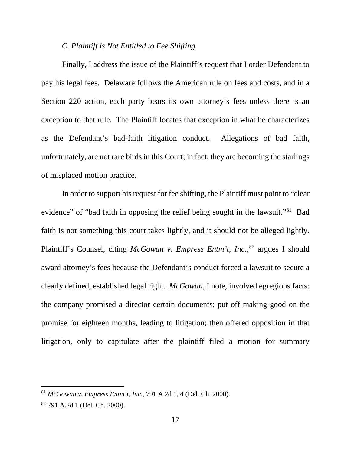#### *C. Plaintiff is Not Entitled to Fee Shifting*

Finally, I address the issue of the Plaintiff's request that I order Defendant to pay his legal fees. Delaware follows the American rule on fees and costs, and in a Section 220 action, each party bears its own attorney's fees unless there is an exception to that rule. The Plaintiff locates that exception in what he characterizes as the Defendant's bad-faith litigation conduct. Allegations of bad faith, unfortunately, are not rare birds in this Court; in fact, they are becoming the starlings of misplaced motion practice.

In order to support his request for fee shifting, the Plaintiff must point to "clear evidence" of "bad faith in opposing the relief being sought in the lawsuit."81 Bad faith is not something this court takes lightly, and it should not be alleged lightly. Plaintiff's Counsel, citing *McGowan v. Empress Entm't, Inc.*,<sup>82</sup> argues I should award attorney's fees because the Defendant's conduct forced a lawsuit to secure a clearly defined, established legal right. *McGowan*, I note, involved egregious facts: the company promised a director certain documents; put off making good on the promise for eighteen months, leading to litigation; then offered opposition in that litigation, only to capitulate after the plaintiff filed a motion for summary

 <sup>81</sup> *McGowan v. Empress Entm't, Inc.*, 791 A.2d 1, 4 (Del. Ch. 2000).

<sup>82</sup> 791 A.2d 1 (Del. Ch. 2000).